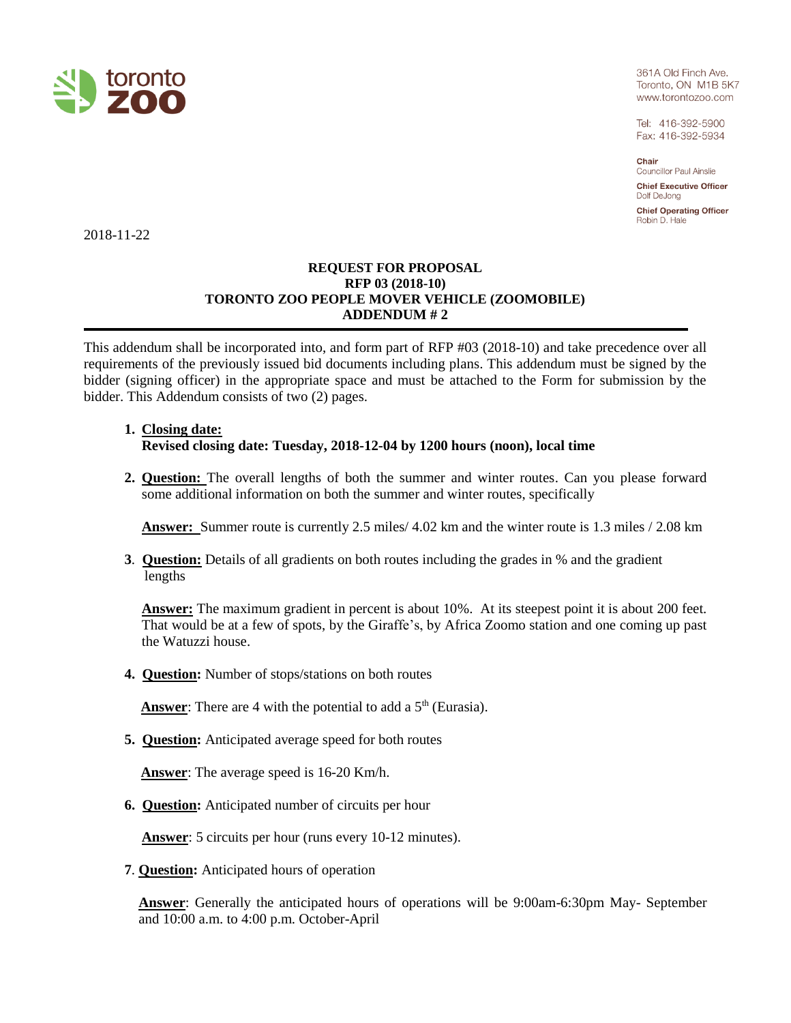

361A Old Finch Ave. Toronto, ON M1B 5K7 www.torontozoo.com

Tel: 416-392-5900 Fax: 416-392-5934

Chair

**Councillor Paul Ainslie Chief Executive Officer** 

Dolf DeJong

**Chief Operating Officer** Robin D. Hale

2018-11-22

## **REQUEST FOR PROPOSAL RFP 03 (2018-10) TORONTO ZOO PEOPLE MOVER VEHICLE (ZOOMOBILE) ADDENDUM # 2**

This addendum shall be incorporated into, and form part of RFP #03 (2018-10) and take precedence over all requirements of the previously issued bid documents including plans. This addendum must be signed by the bidder (signing officer) in the appropriate space and must be attached to the Form for submission by the bidder. This Addendum consists of two (2) pages.

## **1. Closing date: Revised closing date: Tuesday, 2018-12-04 by 1200 hours (noon), local time**

**2. Question:** The overall lengths of both the summer and winter routes. Can you please forward some additional information on both the summer and winter routes, specifically

**Answer:** Summer route is currently 2.5 miles/ 4.02 km and the winter route is 1.3 miles / 2.08 km

**3**. **Question:** Details of all gradients on both routes including the grades in % and the gradient lengths

**Answer:** The maximum gradient in percent is about 10%. At its steepest point it is about 200 feet. That would be at a few of spots, by the Giraffe's, by Africa Zoomo station and one coming up past the Watuzzi house.

**4. Question:** Number of stops/stations on both routes

**Answer:** There are 4 with the potential to add a  $5<sup>th</sup>$  (Eurasia).

**5. Question:** Anticipated average speed for both routes

 **Answer**: The average speed is 16-20 Km/h.

**6. Question:** Anticipated number of circuits per hour

**Answer**: 5 circuits per hour (runs every 10-12 minutes).

**7**. **Question:** Anticipated hours of operation

**Answer**: Generally the anticipated hours of operations will be 9:00am-6:30pm May- September and 10:00 a.m. to 4:00 p.m. October-April